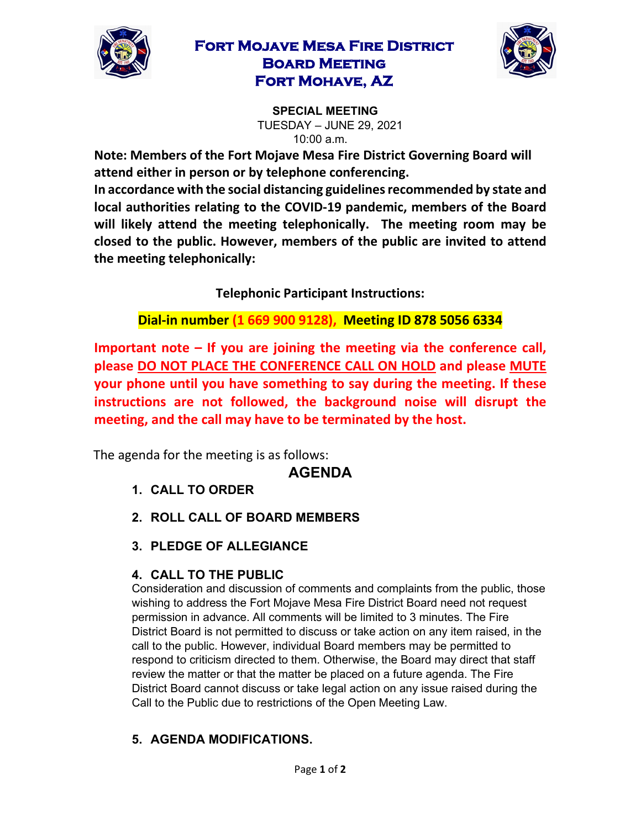

# **Fort Mojave Mesa Fire District Board Meeting Fort Mohave, AZ**



**SPECIAL MEETING**  TUESDAY – JUNE 29, 2021 10:00 a.m.

**Note: Members of the Fort Mojave Mesa Fire District Governing Board will attend either in person or by telephone conferencing.** 

**In accordance with the social distancing guidelines recommended by state and local authorities relating to the COVID-19 pandemic, members of the Board will likely attend the meeting telephonically. The meeting room may be closed to the public. However, members of the public are invited to attend the meeting telephonically:** 

**Telephonic Participant Instructions:**

**Dial-in number (1 669 900 9128), Meeting ID 878 5056 6334** 

**Important note – If you are joining the meeting via the conference call, please DO NOT PLACE THE CONFERENCE CALL ON HOLD and please MUTE your phone until you have something to say during the meeting. If these instructions are not followed, the background noise will disrupt the meeting, and the call may have to be terminated by the host.**

The agenda for the meeting is as follows:

### **AGENDA**

- **1. CALL TO ORDER**
- **2. ROLL CALL OF BOARD MEMBERS**
- **3. PLEDGE OF ALLEGIANCE**

### **4. CALL TO THE PUBLIC**

Consideration and discussion of comments and complaints from the public, those wishing to address the Fort Mojave Mesa Fire District Board need not request permission in advance. All comments will be limited to 3 minutes. The Fire District Board is not permitted to discuss or take action on any item raised, in the call to the public. However, individual Board members may be permitted to respond to criticism directed to them. Otherwise, the Board may direct that staff review the matter or that the matter be placed on a future agenda. The Fire District Board cannot discuss or take legal action on any issue raised during the Call to the Public due to restrictions of the Open Meeting Law.

# **5. AGENDA MODIFICATIONS.**